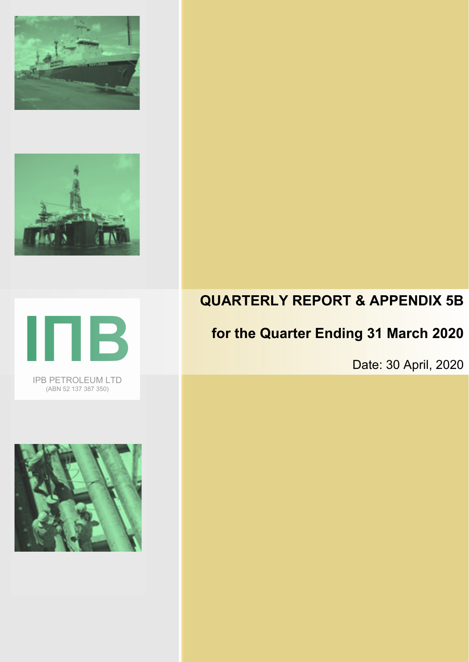







# **QUARTERLY REPORT & APPENDIX 5B**

# **for the Quarter Ending 31 March 2020**

Date: 30 April, 2020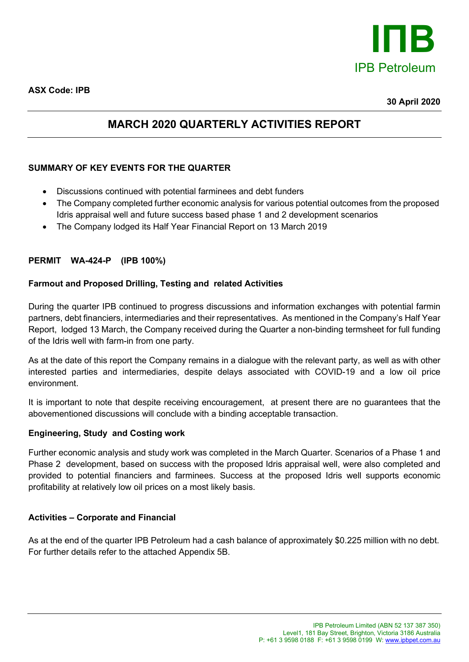

## **MARCH 2020 QUARTERLY ACTIVITIES REPORT**

## **SUMMARY OF KEY EVENTS FOR THE QUARTER**

- Discussions continued with potential farminees and debt funders
- The Company completed further economic analysis for various potential outcomes from the proposed Idris appraisal well and future success based phase 1 and 2 development scenarios
- The Company lodged its Half Year Financial Report on 13 March 2019

### **PERMIT WA-424-P (IPB 100%)**

### **Farmout and Proposed Drilling, Testing and related Activities**

During the quarter IPB continued to progress discussions and information exchanges with potential farmin partners, debt financiers, intermediaries and their representatives. As mentioned in the Company's Half Year Report, lodged 13 March, the Company received during the Quarter a non-binding termsheet for full funding of the Idris well with farm-in from one party.

As at the date of this report the Company remains in a dialogue with the relevant party, as well as with other interested parties and intermediaries, despite delays associated with COVID-19 and a low oil price environment.

It is important to note that despite receiving encouragement, at present there are no guarantees that the abovementioned discussions will conclude with a binding acceptable transaction.

#### **Engineering, Study and Costing work**

Further economic analysis and study work was completed in the March Quarter. Scenarios of a Phase 1 and Phase 2 development, based on success with the proposed Idris appraisal well, were also completed and provided to potential financiers and farminees. Success at the proposed Idris well supports economic profitability at relatively low oil prices on a most likely basis.

#### **Activities – Corporate and Financial**

As at the end of the quarter IPB Petroleum had a cash balance of approximately \$0.225 million with no debt. For further details refer to the attached Appendix 5B.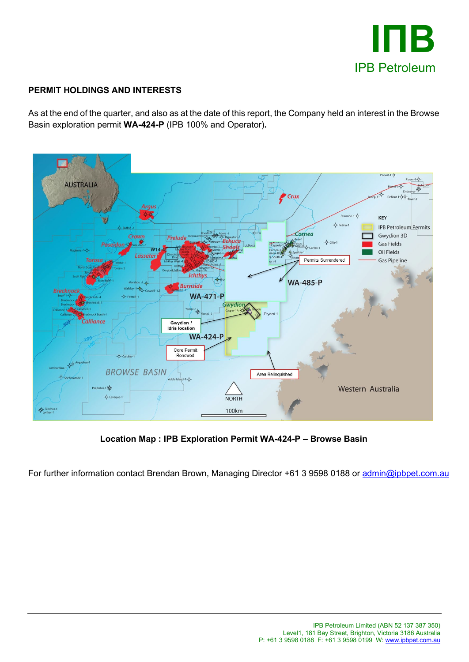

## **PERMIT HOLDINGS AND INTERESTS**

As at the end of the quarter, and also as at the date of this report, the Company held an interest in the Browse Basin exploration permit **WA-424-P** (IPB 100% and Operator)**.**



**Location Map : IPB Exploration Permit WA-424-P – Browse Basin**

For further information contact Brendan Brown, Managing Director +61 3 9598 0188 or [admin@ipbpet.com.au](mailto:admin@ipbpet.com.au)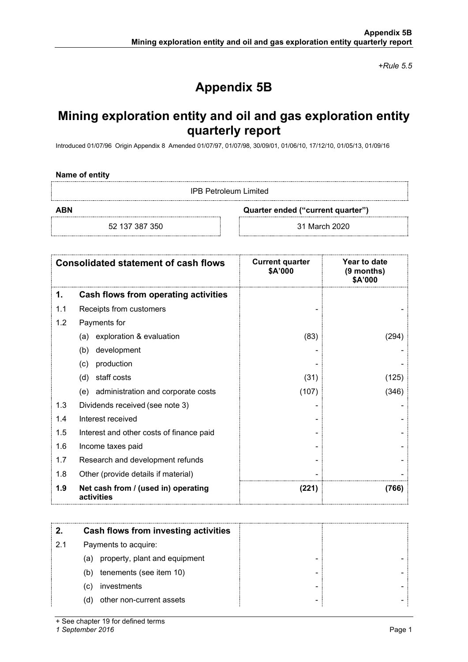*+Rule 5.5*

# **Appendix 5B**

# **Mining exploration entity and oil and gas exploration entity quarterly report**

Introduced 01/07/96 Origin Appendix 8 Amended 01/07/97, 01/07/98, 30/09/01, 01/06/10, 17/12/10, 01/05/13, 01/09/16

#### **Name of entity**

IPB Petroleum Limited

**ABN Quarter ended ("current quarter")**

52 137 387 350 31 March 2020

|     | <b>Consolidated statement of cash flows</b>       | <b>Current quarter</b><br>\$A'000 | Year to date<br>(9 months)<br>\$A'000 |
|-----|---------------------------------------------------|-----------------------------------|---------------------------------------|
| 1.  | Cash flows from operating activities              |                                   |                                       |
| 1.1 | Receipts from customers                           |                                   |                                       |
| 1.2 | Payments for                                      |                                   |                                       |
|     | exploration & evaluation<br>(a)                   | (83)                              | (294)                                 |
|     | development<br>(b)                                |                                   |                                       |
|     | production<br>(c)                                 |                                   |                                       |
|     | staff costs<br>(d)                                | (31)                              | (125)                                 |
|     | administration and corporate costs<br>(e)         | (107)                             | (346)                                 |
| 1.3 | Dividends received (see note 3)                   |                                   |                                       |
| 1.4 | Interest received                                 |                                   |                                       |
| 1.5 | Interest and other costs of finance paid          |                                   |                                       |
| 1.6 | Income taxes paid                                 |                                   |                                       |
| 1.7 | Research and development refunds                  |                                   |                                       |
| 1.8 | Other (provide details if material)               |                                   |                                       |
| 1.9 | Net cash from / (used in) operating<br>activities | (221)                             | (766)                                 |

|     | Cash flows from investing activities |  |
|-----|--------------------------------------|--|
| 2.1 | Payments to acquire:                 |  |
|     | (a) property, plant and equipment    |  |
|     | tenements (see item 10)<br>(b)       |  |
|     | investments<br>(C)                   |  |
|     | other non-current assets<br>(d)      |  |

+ See chapter 19 for defined terms

*1 September 2016* Page 1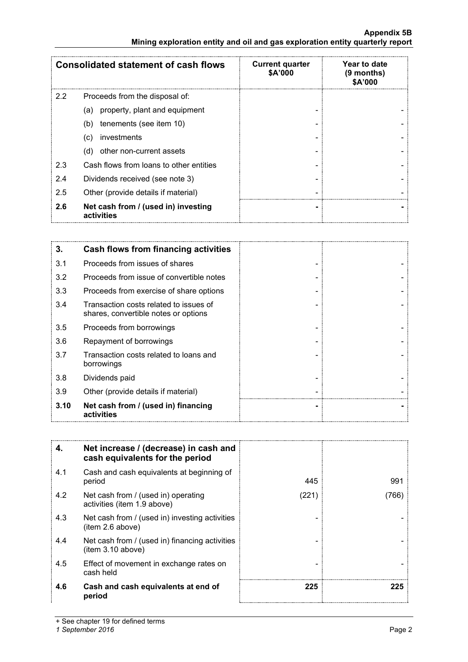#### **Appendix 5B Mining exploration entity and oil and gas exploration entity quarterly report**

|     | <b>Consolidated statement of cash flows</b>       | <b>Current quarter</b><br>\$A'000 | Year to date<br>$(9$ months)<br>\$A'000 |
|-----|---------------------------------------------------|-----------------------------------|-----------------------------------------|
| 2.2 | Proceeds from the disposal of:                    |                                   |                                         |
|     | property, plant and equipment<br>(a)              |                                   |                                         |
|     | tenements (see item 10)<br>(b)                    |                                   |                                         |
|     | investments<br>(c)                                |                                   |                                         |
|     | other non-current assets<br>(d)                   |                                   |                                         |
| 2.3 | Cash flows from loans to other entities           |                                   |                                         |
| 2.4 | Dividends received (see note 3)                   |                                   |                                         |
| 2.5 | Other (provide details if material)               |                                   |                                         |
| 2.6 | Net cash from / (used in) investing<br>activities |                                   |                                         |

| 3.   | Cash flows from financing activities                                           |  |
|------|--------------------------------------------------------------------------------|--|
| 3.1  | Proceeds from issues of shares                                                 |  |
| 3.2  | Proceeds from issue of convertible notes                                       |  |
| 3.3  | Proceeds from exercise of share options                                        |  |
| 3.4  | Transaction costs related to issues of<br>shares, convertible notes or options |  |
| 3.5  | Proceeds from borrowings                                                       |  |
| 3.6  | Repayment of borrowings                                                        |  |
| 3.7  | Transaction costs related to loans and<br>borrowings                           |  |
| 3.8  | Dividends paid                                                                 |  |
| 3.9  | Other (provide details if material)                                            |  |
| 3.10 | Net cash from / (used in) financing<br>activities                              |  |

| 4.  | Net increase / (decrease) in cash and<br>cash equivalents for the period |       |      |
|-----|--------------------------------------------------------------------------|-------|------|
| 4.1 | Cash and cash equivalents at beginning of<br>period                      | 445   | 991  |
| 4.2 | Net cash from / (used in) operating<br>activities (item 1.9 above)       | (221) | 7661 |
| 4.3 | Net cash from / (used in) investing activities<br>(item 2.6 above)       |       |      |
| 4.4 | Net cash from / (used in) financing activities<br>item 3.10 above)       |       |      |
| 4.5 | Effect of movement in exchange rates on<br>cash held                     |       |      |
| 4.6 | Cash and cash equivalents at end of<br>period                            | 225   | 225  |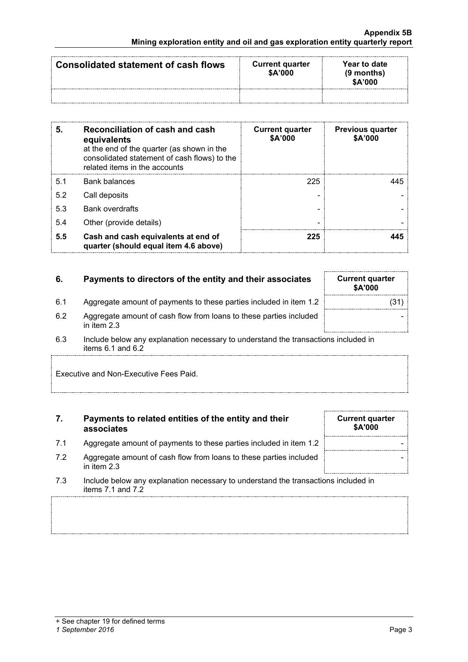| Consolidated statement of cash flows | <b>Current quarter</b><br>\$A'000 | Year to date<br>$(9$ months)<br>\$A'000 |
|--------------------------------------|-----------------------------------|-----------------------------------------|
|                                      |                                   |                                         |

| 5.  | Reconciliation of cash and cash<br>equivalents<br>at the end of the quarter (as shown in the<br>consolidated statement of cash flows) to the<br>related items in the accounts | <b>Current quarter</b><br>\$A'000 | <b>Previous quarter</b><br>\$A'000 |
|-----|-------------------------------------------------------------------------------------------------------------------------------------------------------------------------------|-----------------------------------|------------------------------------|
| 5.1 | <b>Bank balances</b>                                                                                                                                                          | 225                               | L45.                               |
| 5.2 | Call deposits                                                                                                                                                                 |                                   |                                    |
| 5.3 | <b>Bank overdrafts</b>                                                                                                                                                        |                                   |                                    |
| 5.4 | Other (provide details)                                                                                                                                                       |                                   |                                    |
| 5.5 | Cash and cash equivalents at end of<br>quarter (should equal item 4.6 above)                                                                                                  | 225                               |                                    |

| 6. | Payments to directors of the entity and their associates | <b>Current quarter</b> |
|----|----------------------------------------------------------|------------------------|
|    |                                                          |                        |

| 6.  | Payments to directors of the entity and their associates                            | <b>Current quarter</b><br>\$A'000 |
|-----|-------------------------------------------------------------------------------------|-----------------------------------|
| 6.1 | Aggregate amount of payments to these parties included in item 1.2                  | (31)                              |
| 6.2 | Aggregate amount of cash flow from loans to these parties included<br>in item $2.3$ |                                   |

- 6.2 Aggregate amount of cash flow from loans to these parties included in item 2.3
- 6.3 Include below any explanation necessary to understand the transactions included in items 6.1 and 6.2

Executive and Non-Executive Fees Paid.

#### **7. Payments to related entities of the entity and their associates**

- 7.1 Aggregate amount of payments to these parties included in item 1.2
- 7.2 Aggregate amount of cash flow from loans to these parties included in item 2.3
- 7.3 Include below any explanation necessary to understand the transactions included in items 7.1 and 7.2

| <b>Current quarter</b><br>\$A'000 |  |
|-----------------------------------|--|
|                                   |  |
|                                   |  |
|                                   |  |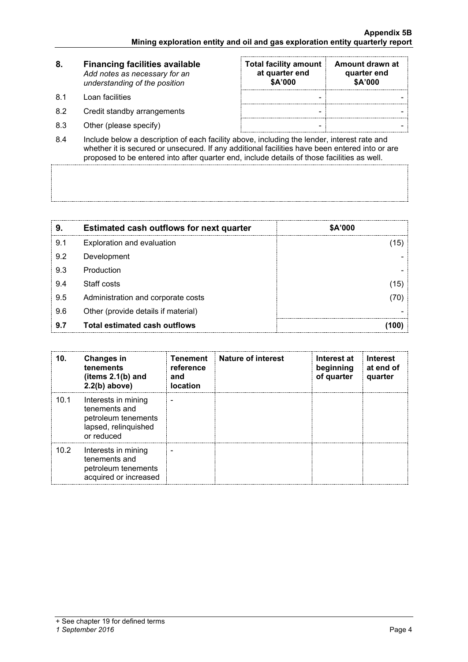| 8.   | <b>Financing facilities available</b><br>Add notes as necessary for an<br>understanding of the position | <b>Total facility amount</b><br>at quarter end<br>\$A'000 | Amount drawn at<br>quarter end<br>\$A'000 |
|------|---------------------------------------------------------------------------------------------------------|-----------------------------------------------------------|-------------------------------------------|
| -8.1 | Loan facilities                                                                                         |                                                           |                                           |
| 8.2  | Credit standby arrangements                                                                             |                                                           |                                           |

- 8.3 Other (please specify) and the set of the set of the set of the set of the set of the set of the set of the set of the set of the set of the set of the set of the set of the set of the set of the set of the set of the
- 8.4 Include below a description of each facility above, including the lender, interest rate and whether it is secured or unsecured. If any additional facilities have been entered into or are proposed to be entered into after quarter end, include details of those facilities as well.

| 9   | <b>Estimated cash outflows for next quarter</b> | \$A'000 |
|-----|-------------------------------------------------|---------|
| 9.1 | Exploration and evaluation                      | 15      |
| 9.2 | Development                                     |         |
| 9.3 | Production                                      |         |
| 9.4 | Staff costs                                     | 15      |
| 9.5 | Administration and corporate costs              |         |
| 9.6 | Other (provide details if material)             |         |
| 9.7 | Total estimated cash outflows                   |         |

| 10.  | <b>Changes in</b><br>tenements<br>(items $2.1(b)$ and<br>$2.2(b)$ above)                          | <b>Tenement</b><br>reference<br>and<br><b>location</b> | <b>Nature of interest</b> | Interest at<br>beginning<br>of quarter | <b>Interest</b><br>at end of<br>quarter |
|------|---------------------------------------------------------------------------------------------------|--------------------------------------------------------|---------------------------|----------------------------------------|-----------------------------------------|
| 10.1 | Interests in mining<br>tenements and<br>petroleum tenements<br>lapsed, relinquished<br>or reduced |                                                        |                           |                                        |                                         |
| 10.2 | Interests in mining<br>tenements and<br>petroleum tenements<br>acquired or increased              |                                                        |                           |                                        |                                         |